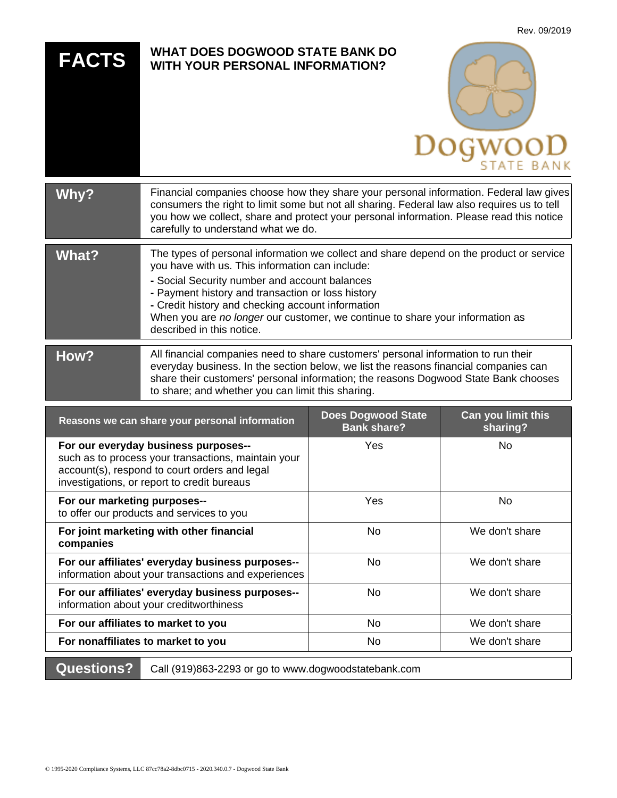| <b>FACTS</b>                                                                                                            | <b>WHAT DOES DOGWOOD STATE BANK DO</b><br><b>WITH YOUR PERSONAL INFORMATION?</b>                                                                                                                                                                                                                                                                                                                                    |  |          |
|-------------------------------------------------------------------------------------------------------------------------|---------------------------------------------------------------------------------------------------------------------------------------------------------------------------------------------------------------------------------------------------------------------------------------------------------------------------------------------------------------------------------------------------------------------|--|----------|
| <b>Why?</b>                                                                                                             | Financial companies choose how they share your personal information. Federal law gives<br>consumers the right to limit some but not all sharing. Federal law also requires us to tell<br>you how we collect, share and protect your personal information. Please read this notice<br>carefully to understand what we do.                                                                                            |  |          |
| <b>What?</b>                                                                                                            | The types of personal information we collect and share depend on the product or service<br>you have with us. This information can include:<br>- Social Security number and account balances<br>- Payment history and transaction or loss history<br>- Credit history and checking account information<br>When you are no longer our customer, we continue to share your information as<br>described in this notice. |  |          |
| How?                                                                                                                    | All financial companies need to share customers' personal information to run their<br>everyday business. In the section below, we list the reasons financial companies can<br>share their customers' personal information; the reasons Dogwood State Bank chooses<br>to share; and whether you can limit this sharing.                                                                                              |  |          |
| Can you limit this<br><b>Does Dogwood State</b><br>Reasons we can share your personal information<br><b>Bank share?</b> |                                                                                                                                                                                                                                                                                                                                                                                                                     |  | sharing? |

Rev. 09/2019

| Reasons we can share your personal information                                                                                                                                              | <b>Bank share?</b> | sharing?       |
|---------------------------------------------------------------------------------------------------------------------------------------------------------------------------------------------|--------------------|----------------|
| For our everyday business purposes--<br>such as to process your transactions, maintain your<br>account(s), respond to court orders and legal<br>investigations, or report to credit bureaus | Yes                | No.            |
| For our marketing purposes--<br>to offer our products and services to you                                                                                                                   | Yes                | No             |
| For joint marketing with other financial<br>companies                                                                                                                                       | <b>No</b>          | We don't share |
| For our affiliates' everyday business purposes--<br>information about your transactions and experiences                                                                                     | <b>No</b>          | We don't share |
| For our affiliates' everyday business purposes--<br>information about your creditworthiness                                                                                                 | No                 | We don't share |
| For our affiliates to market to you                                                                                                                                                         | No                 | We don't share |
| For nonaffiliates to market to you                                                                                                                                                          | No                 | We don't share |

**Questions?** Call (919)863-2293 or go to www.dogwoodstatebank.com